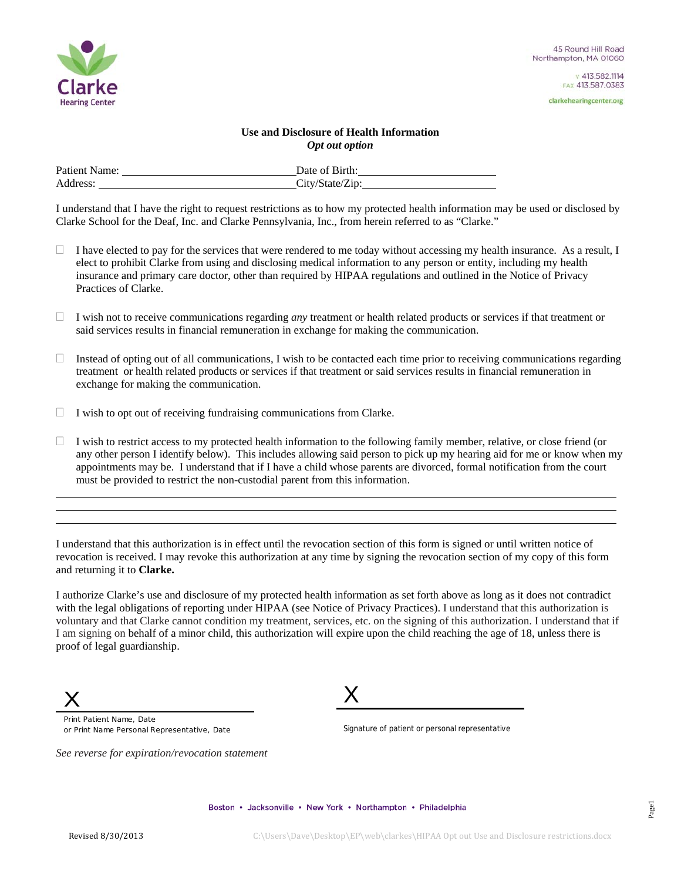

clarkehearingcenter.org

## **Use and Disclosure of Health Information**  *Opt out option*

| Patient Name: | Date of Birth:  |
|---------------|-----------------|
| Address:      | City/State/Zip: |

I understand that I have the right to request restrictions as to how my protected health information may be used or disclosed by Clarke School for the Deaf, Inc. and Clarke Pennsylvania, Inc., from herein referred to as "Clarke."

- $\Box$  I have elected to pay for the services that were rendered to me today without accessing my health insurance. As a result, I elect to prohibit Clarke from using and disclosing medical information to any person or entity, including my health insurance and primary care doctor, other than required by HIPAA regulations and outlined in the Notice of Privacy Practices of Clarke.
- $\Box$  I wish not to receive communications regarding *any* treatment or health related products or services if that treatment or said services results in financial remuneration in exchange for making the communication.
- $\Box$  Instead of opting out of all communications, I wish to be contacted each time prior to receiving communications regarding treatment or health related products or services if that treatment or said services results in financial remuneration in exchange for making the communication.
- $\Box$  I wish to opt out of receiving fundraising communications from Clarke.
- $\Box$  I wish to restrict access to my protected health information to the following family member, relative, or close friend (or any other person I identify below). This includes allowing said person to pick up my hearing aid for me or know when my appointments may be. I understand that if I have a child whose parents are divorced, formal notification from the court must be provided to restrict the non-custodial parent from this information.

I understand that this authorization is in effect until the revocation section of this form is signed or until written notice of revocation is received. I may revoke this authorization at any time by signing the revocation section of my copy of this form and returning it to **Clarke.** 

I authorize Clarke's use and disclosure of my protected health information as set forth above as long as it does not contradict with the legal obligations of reporting under HIPAA (see Notice of Privacy Practices). I understand that this authorization is voluntary and that Clarke cannot condition my treatment, services, etc. on the signing of this authorization. I understand that if I am signing on behalf of a minor child, this authorization will expire upon the child reaching the age of 18, unless there is proof of legal guardianship.



  $\ddot{\phantom{a}}$ 

> Print Patient Name, Date or Print Name Personal Representative, Date

*See reverse for expiration/revocation statement* 

X

Signature of patient or personal representative

Boston • Jacksonville • New York • Northampton • Philadelphia